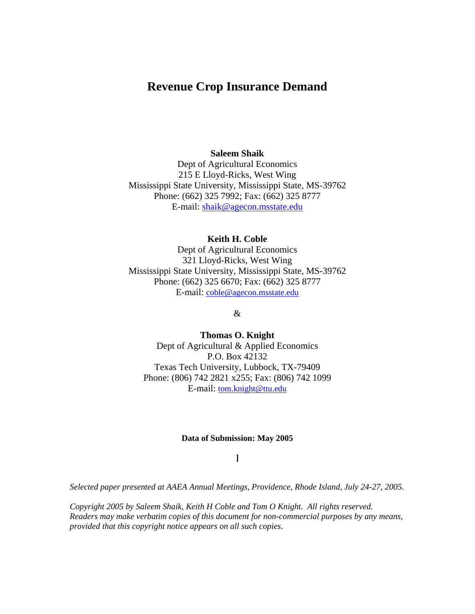# **Revenue Crop Insurance Demand**

### **Saleem Shaik**

Dept of Agricultural Economics 215 E Lloyd-Ricks, West Wing Mississippi State University, Mississippi State, MS-39762 Phone: (662) 325 7992; Fax: (662) 325 8777 E-mail: shaik@agecon.msstate.edu

### **Keith H. Coble**

Dept of Agricultural Economics 321 Lloyd-Ricks, West Wing Mississippi State University, Mississippi State, MS-39762 Phone: (662) 325 6670; Fax: (662) 325 8777 E-mail: coble@agecon.msstate.edu

### &

**Thomas O. Knight**  Dept of Agricultural & Applied Economics P.O. Box 42132 Texas Tech University, Lubbock, TX-79409 Phone: (806) 742 2821 x255; Fax: (806) 742 1099 E-mail: tom.knight@ttu.edu

#### **Data of Submission: May 2005**

### **]**

*Selected paper presented at AAEA Annual Meetings, Providence, Rhode Island, July 24-27, 2005.* 

*Copyright 2005 by Saleem Shaik, Keith H Coble and Tom O Knight. All rights reserved. Readers may make verbatim copies of this document for non-commercial purposes by any means, provided that this copyright notice appears on all such copies*.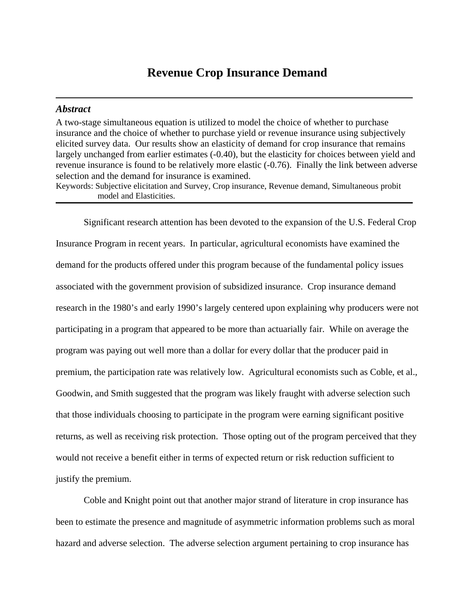# **Revenue Crop Insurance Demand**

#### *Abstract*

A two-stage simultaneous equation is utilized to model the choice of whether to purchase insurance and the choice of whether to purchase yield or revenue insurance using subjectively elicited survey data. Our results show an elasticity of demand for crop insurance that remains largely unchanged from earlier estimates (-0.40), but the elasticity for choices between yield and revenue insurance is found to be relatively more elastic (-0.76). Finally the link between adverse selection and the demand for insurance is examined. Keywords: Subjective elicitation and Survey, Crop insurance, Revenue demand, Simultaneous probit

model and Elasticities.

Significant research attention has been devoted to the expansion of the U.S. Federal Crop Insurance Program in recent years. In particular, agricultural economists have examined the demand for the products offered under this program because of the fundamental policy issues associated with the government provision of subsidized insurance. Crop insurance demand research in the 1980's and early 1990's largely centered upon explaining why producers were not participating in a program that appeared to be more than actuarially fair. While on average the program was paying out well more than a dollar for every dollar that the producer paid in premium, the participation rate was relatively low. Agricultural economists such as Coble, et al., Goodwin, and Smith suggested that the program was likely fraught with adverse selection such that those individuals choosing to participate in the program were earning significant positive returns, as well as receiving risk protection. Those opting out of the program perceived that they would not receive a benefit either in terms of expected return or risk reduction sufficient to justify the premium.

Coble and Knight point out that another major strand of literature in crop insurance has been to estimate the presence and magnitude of asymmetric information problems such as moral hazard and adverse selection. The adverse selection argument pertaining to crop insurance has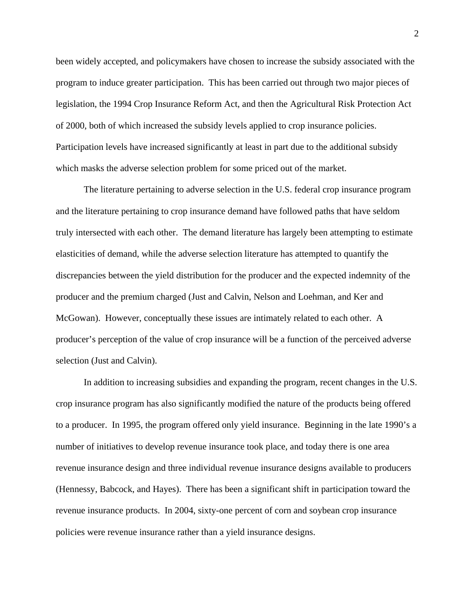been widely accepted, and policymakers have chosen to increase the subsidy associated with the program to induce greater participation. This has been carried out through two major pieces of legislation, the 1994 Crop Insurance Reform Act, and then the Agricultural Risk Protection Act of 2000, both of which increased the subsidy levels applied to crop insurance policies. Participation levels have increased significantly at least in part due to the additional subsidy which masks the adverse selection problem for some priced out of the market.

The literature pertaining to adverse selection in the U.S. federal crop insurance program and the literature pertaining to crop insurance demand have followed paths that have seldom truly intersected with each other. The demand literature has largely been attempting to estimate elasticities of demand, while the adverse selection literature has attempted to quantify the discrepancies between the yield distribution for the producer and the expected indemnity of the producer and the premium charged (Just and Calvin, Nelson and Loehman, and Ker and McGowan). However, conceptually these issues are intimately related to each other. A producer's perception of the value of crop insurance will be a function of the perceived adverse selection (Just and Calvin).

In addition to increasing subsidies and expanding the program, recent changes in the U.S. crop insurance program has also significantly modified the nature of the products being offered to a producer. In 1995, the program offered only yield insurance. Beginning in the late 1990's a number of initiatives to develop revenue insurance took place, and today there is one area revenue insurance design and three individual revenue insurance designs available to producers (Hennessy, Babcock, and Hayes). There has been a significant shift in participation toward the revenue insurance products. In 2004, sixty-one percent of corn and soybean crop insurance policies were revenue insurance rather than a yield insurance designs.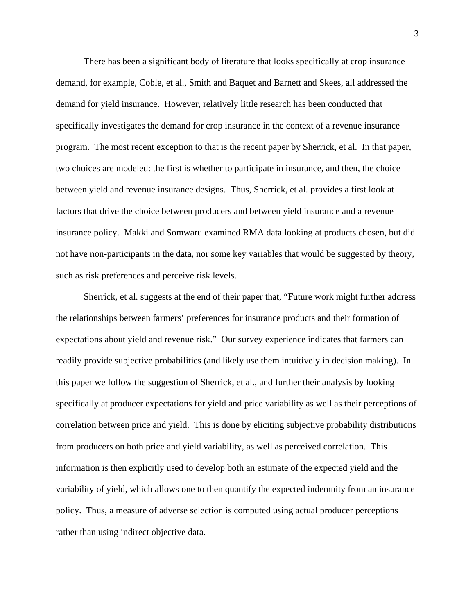There has been a significant body of literature that looks specifically at crop insurance demand, for example, Coble, et al., Smith and Baquet and Barnett and Skees, all addressed the demand for yield insurance. However, relatively little research has been conducted that specifically investigates the demand for crop insurance in the context of a revenue insurance program. The most recent exception to that is the recent paper by Sherrick, et al. In that paper, two choices are modeled: the first is whether to participate in insurance, and then, the choice between yield and revenue insurance designs. Thus, Sherrick, et al. provides a first look at factors that drive the choice between producers and between yield insurance and a revenue insurance policy. Makki and Somwaru examined RMA data looking at products chosen, but did not have non-participants in the data, nor some key variables that would be suggested by theory, such as risk preferences and perceive risk levels.

Sherrick, et al. suggests at the end of their paper that, "Future work might further address the relationships between farmers' preferences for insurance products and their formation of expectations about yield and revenue risk." Our survey experience indicates that farmers can readily provide subjective probabilities (and likely use them intuitively in decision making). In this paper we follow the suggestion of Sherrick, et al., and further their analysis by looking specifically at producer expectations for yield and price variability as well as their perceptions of correlation between price and yield. This is done by eliciting subjective probability distributions from producers on both price and yield variability, as well as perceived correlation. This information is then explicitly used to develop both an estimate of the expected yield and the variability of yield, which allows one to then quantify the expected indemnity from an insurance policy. Thus, a measure of adverse selection is computed using actual producer perceptions rather than using indirect objective data.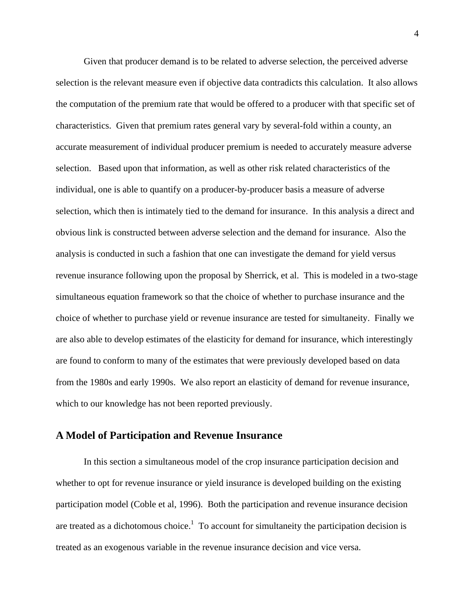Given that producer demand is to be related to adverse selection, the perceived adverse selection is the relevant measure even if objective data contradicts this calculation. It also allows the computation of the premium rate that would be offered to a producer with that specific set of characteristics. Given that premium rates general vary by several-fold within a county, an accurate measurement of individual producer premium is needed to accurately measure adverse selection. Based upon that information, as well as other risk related characteristics of the individual, one is able to quantify on a producer-by-producer basis a measure of adverse selection, which then is intimately tied to the demand for insurance. In this analysis a direct and obvious link is constructed between adverse selection and the demand for insurance. Also the analysis is conducted in such a fashion that one can investigate the demand for yield versus revenue insurance following upon the proposal by Sherrick, et al. This is modeled in a two-stage simultaneous equation framework so that the choice of whether to purchase insurance and the choice of whether to purchase yield or revenue insurance are tested for simultaneity. Finally we are also able to develop estimates of the elasticity for demand for insurance, which interestingly are found to conform to many of the estimates that were previously developed based on data from the 1980s and early 1990s. We also report an elasticity of demand for revenue insurance, which to our knowledge has not been reported previously.

### **A Model of Participation and Revenue Insurance**

In this section a simultaneous model of the crop insurance participation decision and whether to opt for revenue insurance or yield insurance is developed building on the existing participation model (Coble et al, 1996). Both the participation and revenue insurance decision are treated as a dichotomous choice.<sup>1</sup> To account for simultaneity the participation decision is treated as an exogenous variable in the revenue insurance decision and vice versa.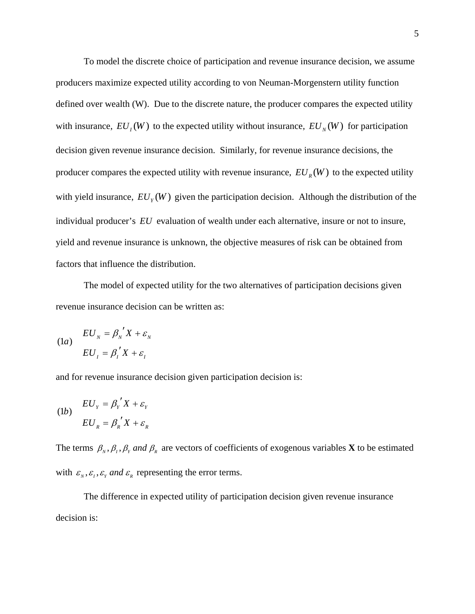To model the discrete choice of participation and revenue insurance decision, we assume producers maximize expected utility according to von Neuman-Morgenstern utility function defined over wealth (W). Due to the discrete nature, the producer compares the expected utility with insurance,  $EU_I(W)$  to the expected utility without insurance,  $EU_N(W)$  for participation decision given revenue insurance decision. Similarly, for revenue insurance decisions, the producer compares the expected utility with revenue insurance,  $EU_R(W)$  to the expected utility with yield insurance,  $EU_y(W)$  given the participation decision. Although the distribution of the individual producer's *EU* evaluation of wealth under each alternative, insure or not to insure, yield and revenue insurance is unknown, the objective measures of risk can be obtained from factors that influence the distribution.

The model of expected utility for the two alternatives of participation decisions given revenue insurance decision can be written as:

(1*a*) 
$$
EU_{N} = \beta_{N}^{'} X + \varepsilon_{N}
$$

$$
EU_{I} = \beta_{I}^{'} X + \varepsilon_{I}
$$

and for revenue insurance decision given participation decision is:

(1b) 
$$
EU_{Y} = \beta_{Y}^{\prime} X + \varepsilon_{Y}
$$

$$
EU_{R} = \beta_{R}^{\prime} X + \varepsilon_{R}
$$

The terms  $\beta_{N}$ ,  $\beta_{I}$ ,  $\beta_{Y}$  and  $\beta_{R}$  are vectors of coefficients of exogenous variables **X** to be estimated with  $\varepsilon_{N}, \varepsilon_{I}, \varepsilon_{Y}$  and  $\varepsilon_{R}$  representing the error terms.

The difference in expected utility of participation decision given revenue insurance decision is: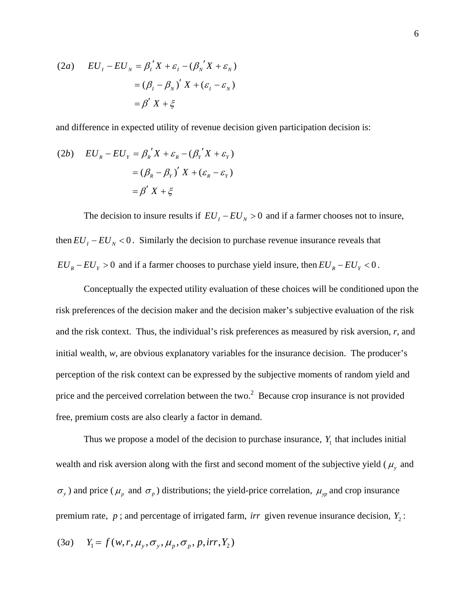(2a) 
$$
EU_{I} - EU_{N} = \beta_{I}^{\prime} X + \varepsilon_{I} - (\beta_{N}^{\prime} X + \varepsilon_{N})
$$

$$
= (\beta_{I} - \beta_{N})^{\prime} X + (\varepsilon_{I} - \varepsilon_{N})
$$

$$
= \beta^{\prime} X + \xi
$$

and difference in expected utility of revenue decision given participation decision is:

(2b) 
$$
EU_R - EU_Y = \beta_R' X + \varepsilon_R - (\beta_Y' X + \varepsilon_Y)
$$

$$
= (\beta_R - \beta_Y)' X + (\varepsilon_R - \varepsilon_Y)
$$

$$
= \beta' X + \xi
$$

The decision to insure results if  $EU_I - EU_N > 0$  and if a farmer chooses not to insure, then  $EU_I - EU_N < 0$ . Similarly the decision to purchase revenue insurance reveals that  $EU_R - EU_Y > 0$  and if a farmer chooses to purchase yield insure, then  $EU_R - EU_Y < 0$ .

Conceptually the expected utility evaluation of these choices will be conditioned upon the risk preferences of the decision maker and the decision maker's subjective evaluation of the risk and the risk context. Thus, the individual's risk preferences as measured by risk aversion, *r*, and initial wealth, *w*, are obvious explanatory variables for the insurance decision. The producer's perception of the risk context can be expressed by the subjective moments of random yield and price and the perceived correlation between the two. $2$  Because crop insurance is not provided free, premium costs are also clearly a factor in demand.

Thus we propose a model of the decision to purchase insurance,  $Y_1$  that includes initial wealth and risk aversion along with the first and second moment of the subjective yield ( $\mu$ <sup>*y*</sup> and  $\sigma_y$ ) and price ( $\mu_p$  and  $\sigma_p$ ) distributions; the yield-price correlation,  $\mu_{yp}$  and crop insurance premium rate,  $p$ ; and percentage of irrigated farm, *irr* given revenue insurance decision,  $Y_2$ :

$$
(3a) \tY1 = f(w, r, \muy, \sigmay, \mup, \sigmap, irr, Y2)
$$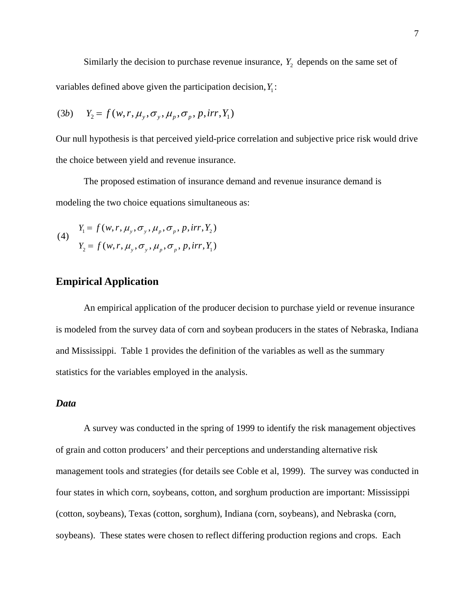Similarly the decision to purchase revenue insurance,  $Y_2$  depends on the same set of variables defined above given the participation decision,  $Y_1$ :

$$
(3b) \tY2 = f(w,r,\muy,\sigmay,\mup,\sigmap,\text{irr},Y1)
$$

Our null hypothesis is that perceived yield-price correlation and subjective price risk would drive the choice between yield and revenue insurance.

The proposed estimation of insurance demand and revenue insurance demand is modeling the two choice equations simultaneous as:

(4) 
$$
Y_1 = f(w, r, \mu_y, \sigma_y, \mu_p, \sigma_p, p, irr, Y_2)
$$
  
 $Y_2 = f(w, r, \mu_y, \sigma_y, \mu_p, \sigma_p, p, irr, Y_1)$ 

## **Empirical Application**

An empirical application of the producer decision to purchase yield or revenue insurance is modeled from the survey data of corn and soybean producers in the states of Nebraska, Indiana and Mississippi. Table 1 provides the definition of the variables as well as the summary statistics for the variables employed in the analysis.

### *Data*

A survey was conducted in the spring of 1999 to identify the risk management objectives of grain and cotton producers' and their perceptions and understanding alternative risk management tools and strategies (for details see Coble et al, 1999). The survey was conducted in four states in which corn, soybeans, cotton, and sorghum production are important: Mississippi (cotton, soybeans), Texas (cotton, sorghum), Indiana (corn, soybeans), and Nebraska (corn, soybeans). These states were chosen to reflect differing production regions and crops. Each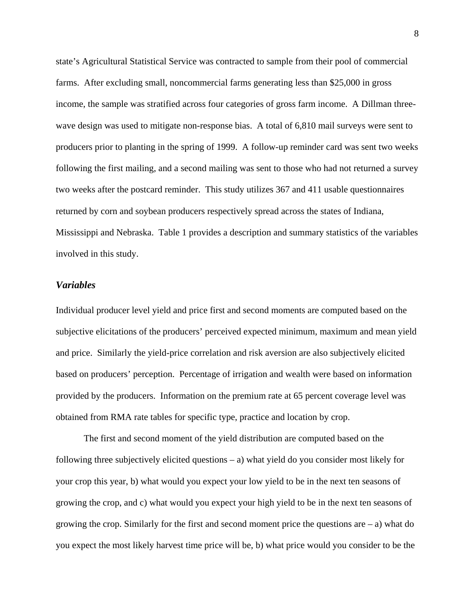state's Agricultural Statistical Service was contracted to sample from their pool of commercial farms. After excluding small, noncommercial farms generating less than \$25,000 in gross income, the sample was stratified across four categories of gross farm income. A Dillman threewave design was used to mitigate non-response bias. A total of 6,810 mail surveys were sent to producers prior to planting in the spring of 1999. A follow-up reminder card was sent two weeks following the first mailing, and a second mailing was sent to those who had not returned a survey two weeks after the postcard reminder. This study utilizes 367 and 411 usable questionnaires returned by corn and soybean producers respectively spread across the states of Indiana, Mississippi and Nebraska. Table 1 provides a description and summary statistics of the variables involved in this study.

### *Variables*

Individual producer level yield and price first and second moments are computed based on the subjective elicitations of the producers' perceived expected minimum, maximum and mean yield and price. Similarly the yield-price correlation and risk aversion are also subjectively elicited based on producers' perception. Percentage of irrigation and wealth were based on information provided by the producers. Information on the premium rate at 65 percent coverage level was obtained from RMA rate tables for specific type, practice and location by crop.

 The first and second moment of the yield distribution are computed based on the following three subjectively elicited questions – a) what yield do you consider most likely for your crop this year, b) what would you expect your low yield to be in the next ten seasons of growing the crop, and c) what would you expect your high yield to be in the next ten seasons of growing the crop. Similarly for the first and second moment price the questions are  $-$  a) what do you expect the most likely harvest time price will be, b) what price would you consider to be the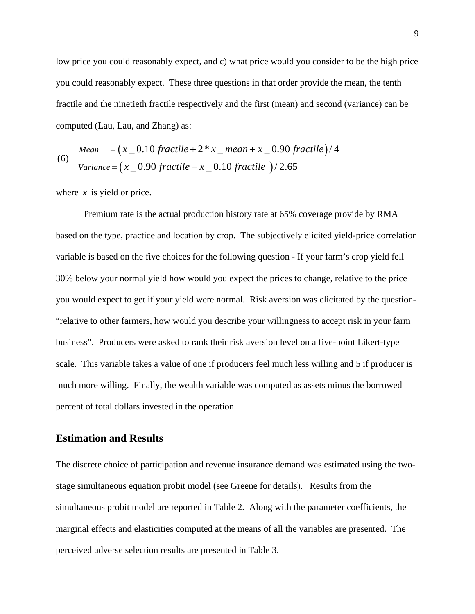low price you could reasonably expect, and c) what price would you consider to be the high price you could reasonably expect. These three questions in that order provide the mean, the tenth fractile and the ninetieth fractile respectively and the first (mean) and second (variance) can be computed (Lau, Lau, and Zhang) as:

\n
$$
\text{Mean } = (x_0.10 \text{ } \text{fractile} + 2 * x \text{ } \text{ } \text{mean} + x_0.90 \text{ } \text{fractile} \text{)} / 4
$$
\n

\n\n $\text{Variance} = (x_0.90 \text{ } \text{fractile} - x_0.10 \text{ } \text{fractile} \text{)} / 2.65$ \n

where *x* is yield or price.

Premium rate is the actual production history rate at 65% coverage provide by RMA based on the type, practice and location by crop. The subjectively elicited yield-price correlation variable is based on the five choices for the following question - If your farm's crop yield fell 30% below your normal yield how would you expect the prices to change, relative to the price you would expect to get if your yield were normal. Risk aversion was elicitated by the question- "relative to other farmers, how would you describe your willingness to accept risk in your farm business". Producers were asked to rank their risk aversion level on a five-point Likert-type scale. This variable takes a value of one if producers feel much less willing and 5 if producer is much more willing. Finally, the wealth variable was computed as assets minus the borrowed percent of total dollars invested in the operation.

### **Estimation and Results**

The discrete choice of participation and revenue insurance demand was estimated using the twostage simultaneous equation probit model (see Greene for details). Results from the simultaneous probit model are reported in Table 2. Along with the parameter coefficients, the marginal effects and elasticities computed at the means of all the variables are presented. The perceived adverse selection results are presented in Table 3.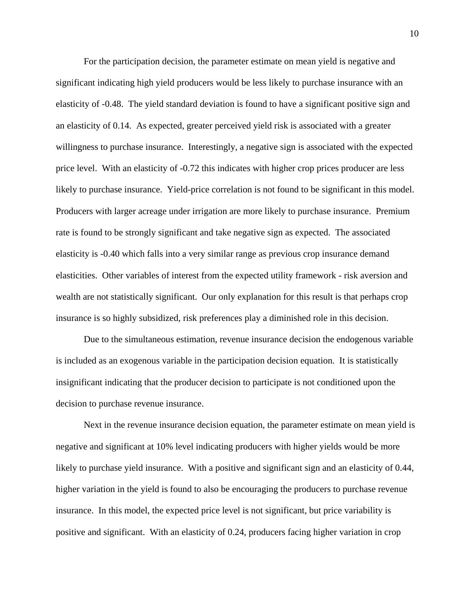For the participation decision, the parameter estimate on mean yield is negative and significant indicating high yield producers would be less likely to purchase insurance with an elasticity of -0.48. The yield standard deviation is found to have a significant positive sign and an elasticity of 0.14. As expected, greater perceived yield risk is associated with a greater willingness to purchase insurance. Interestingly, a negative sign is associated with the expected price level. With an elasticity of -0.72 this indicates with higher crop prices producer are less likely to purchase insurance. Yield-price correlation is not found to be significant in this model. Producers with larger acreage under irrigation are more likely to purchase insurance. Premium rate is found to be strongly significant and take negative sign as expected. The associated elasticity is -0.40 which falls into a very similar range as previous crop insurance demand elasticities. Other variables of interest from the expected utility framework - risk aversion and wealth are not statistically significant. Our only explanation for this result is that perhaps crop insurance is so highly subsidized, risk preferences play a diminished role in this decision.

Due to the simultaneous estimation, revenue insurance decision the endogenous variable is included as an exogenous variable in the participation decision equation. It is statistically insignificant indicating that the producer decision to participate is not conditioned upon the decision to purchase revenue insurance.

Next in the revenue insurance decision equation, the parameter estimate on mean yield is negative and significant at 10% level indicating producers with higher yields would be more likely to purchase yield insurance. With a positive and significant sign and an elasticity of 0.44, higher variation in the yield is found to also be encouraging the producers to purchase revenue insurance. In this model, the expected price level is not significant, but price variability is positive and significant. With an elasticity of 0.24, producers facing higher variation in crop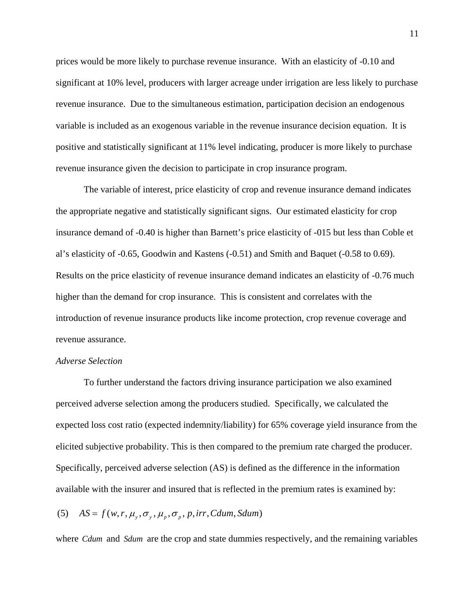prices would be more likely to purchase revenue insurance. With an elasticity of -0.10 and significant at 10% level, producers with larger acreage under irrigation are less likely to purchase revenue insurance. Due to the simultaneous estimation, participation decision an endogenous variable is included as an exogenous variable in the revenue insurance decision equation. It is positive and statistically significant at 11% level indicating, producer is more likely to purchase revenue insurance given the decision to participate in crop insurance program.

The variable of interest, price elasticity of crop and revenue insurance demand indicates the appropriate negative and statistically significant signs. Our estimated elasticity for crop insurance demand of -0.40 is higher than Barnett's price elasticity of -015 but less than Coble et al's elasticity of -0.65, Goodwin and Kastens (-0.51) and Smith and Baquet (-0.58 to 0.69). Results on the price elasticity of revenue insurance demand indicates an elasticity of -0.76 much higher than the demand for crop insurance. This is consistent and correlates with the introduction of revenue insurance products like income protection, crop revenue coverage and revenue assurance.

### *Adverse Selection*

To further understand the factors driving insurance participation we also examined perceived adverse selection among the producers studied. Specifically, we calculated the expected loss cost ratio (expected indemnity/liability) for 65% coverage yield insurance from the elicited subjective probability. This is then compared to the premium rate charged the producer. Specifically, perceived adverse selection (AS) is defined as the difference in the information available with the insurer and insured that is reflected in the premium rates is examined by:

## (5)  $AS = f(w, r, \mu_v, \sigma_v, \mu_v, \sigma_v, p, irr, Cdum, Sdum)$

where *Cdum* and *Sdum* are the crop and state dummies respectively, and the remaining variables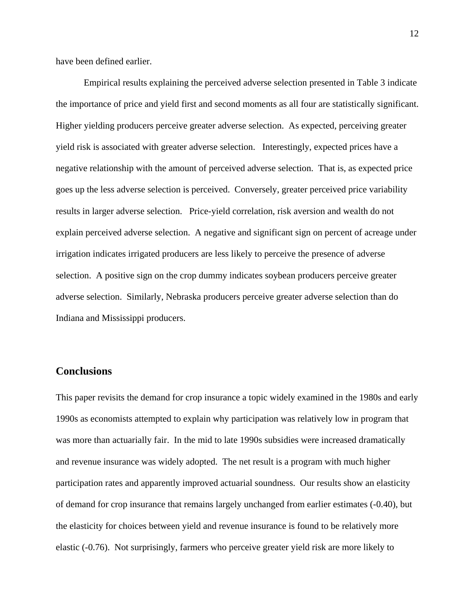have been defined earlier.

Empirical results explaining the perceived adverse selection presented in Table 3 indicate the importance of price and yield first and second moments as all four are statistically significant. Higher yielding producers perceive greater adverse selection. As expected, perceiving greater yield risk is associated with greater adverse selection. Interestingly, expected prices have a negative relationship with the amount of perceived adverse selection. That is, as expected price goes up the less adverse selection is perceived. Conversely, greater perceived price variability results in larger adverse selection. Price-yield correlation, risk aversion and wealth do not explain perceived adverse selection. A negative and significant sign on percent of acreage under irrigation indicates irrigated producers are less likely to perceive the presence of adverse selection. A positive sign on the crop dummy indicates soybean producers perceive greater adverse selection. Similarly, Nebraska producers perceive greater adverse selection than do Indiana and Mississippi producers.

### **Conclusions**

This paper revisits the demand for crop insurance a topic widely examined in the 1980s and early 1990s as economists attempted to explain why participation was relatively low in program that was more than actuarially fair. In the mid to late 1990s subsidies were increased dramatically and revenue insurance was widely adopted. The net result is a program with much higher participation rates and apparently improved actuarial soundness. Our results show an elasticity of demand for crop insurance that remains largely unchanged from earlier estimates (-0.40), but the elasticity for choices between yield and revenue insurance is found to be relatively more elastic (-0.76). Not surprisingly, farmers who perceive greater yield risk are more likely to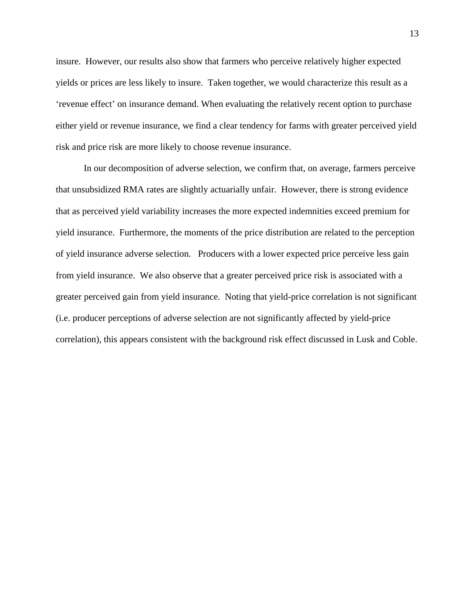insure. However, our results also show that farmers who perceive relatively higher expected yields or prices are less likely to insure. Taken together, we would characterize this result as a 'revenue effect' on insurance demand. When evaluating the relatively recent option to purchase either yield or revenue insurance, we find a clear tendency for farms with greater perceived yield risk and price risk are more likely to choose revenue insurance.

In our decomposition of adverse selection, we confirm that, on average, farmers perceive that unsubsidized RMA rates are slightly actuarially unfair. However, there is strong evidence that as perceived yield variability increases the more expected indemnities exceed premium for yield insurance. Furthermore, the moments of the price distribution are related to the perception of yield insurance adverse selection. Producers with a lower expected price perceive less gain from yield insurance. We also observe that a greater perceived price risk is associated with a greater perceived gain from yield insurance. Noting that yield-price correlation is not significant (i.e. producer perceptions of adverse selection are not significantly affected by yield-price correlation), this appears consistent with the background risk effect discussed in Lusk and Coble.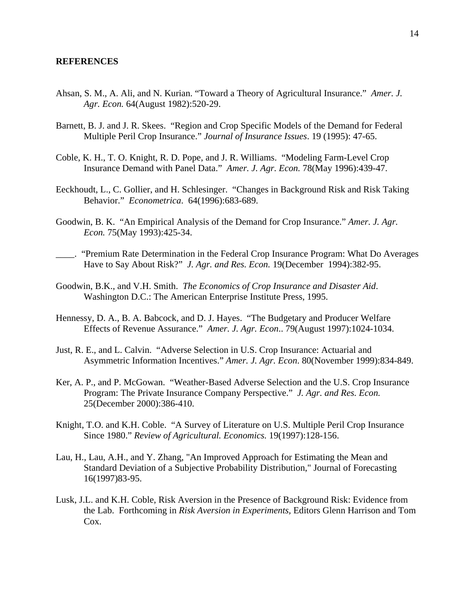### **REFERENCES**

- Ahsan, S. M., A. Ali, and N. Kurian. "Toward a Theory of Agricultural Insurance." *Amer. J. Agr. Econ.* 64(August 1982):520-29.
- Barnett, B. J. and J. R. Skees. "Region and Crop Specific Models of the Demand for Federal Multiple Peril Crop Insurance." *Journal of Insurance Issues*. 19 (1995): 47-65.
- Coble, K. H., T. O. Knight, R. D. Pope, and J. R. Williams. "Modeling Farm-Level Crop Insurance Demand with Panel Data." *Amer. J. Agr. Econ.* 78(May 1996):439-47.
- Eeckhoudt, L., C. Gollier, and H. Schlesinger. "Changes in Background Risk and Risk Taking Behavior." *Econometrica*. 64(1996):683-689.
- Goodwin, B. K. "An Empirical Analysis of the Demand for Crop Insurance." *Amer. J. Agr. Econ.* 75(May 1993):425-34.
- \_\_\_\_. "Premium Rate Determination in the Federal Crop Insurance Program: What Do Averages Have to Say About Risk?" *J. Agr. and Res. Econ.* 19(December 1994):382-95.
- Goodwin, B.K., and V.H. Smith. *The Economics of Crop Insurance and Disaster Aid*. Washington D.C.: The American Enterprise Institute Press, 1995.
- Hennessy, D. A., B. A. Babcock, and D. J. Hayes. "The Budgetary and Producer Welfare Effects of Revenue Assurance." *Amer. J. Agr. Econ*.. 79(August 1997):1024-1034.
- Just, R. E., and L. Calvin. "Adverse Selection in U.S. Crop Insurance: Actuarial and Asymmetric Information Incentives." *Amer. J. Agr. Econ*. 80(November 1999):834-849.
- Ker, A. P., and P. McGowan. "Weather-Based Adverse Selection and the U.S. Crop Insurance Program: The Private Insurance Company Perspective." *J. Agr. and Res. Econ.* 25(December 2000):386-410.
- Knight, T.O. and K.H. Coble. "A Survey of Literature on U.S. Multiple Peril Crop Insurance Since 1980." *Review of Agricultural. Economics.* 19(1997):128-156.
- Lau, H., Lau, A.H., and Y. Zhang, "An Improved Approach for Estimating the Mean and Standard Deviation of a Subjective Probability Distribution," Journal of Forecasting 16(1997)83-95.
- Lusk, J.L. and K.H. Coble, Risk Aversion in the Presence of Background Risk: Evidence from the Lab. Forthcoming in *Risk Aversion in Experiments,* Editors Glenn Harrison and Tom Cox.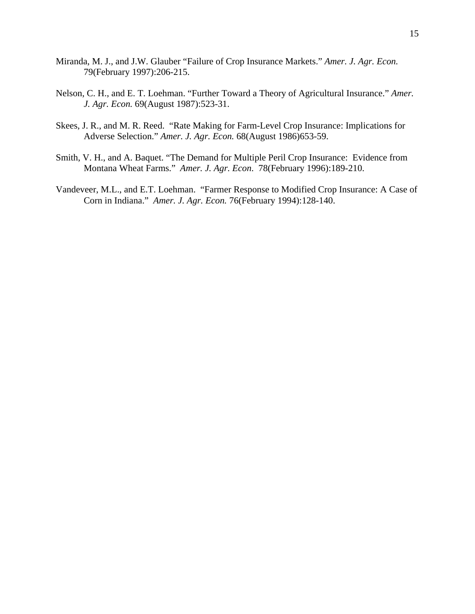- Miranda, M. J., and J.W. Glauber "Failure of Crop Insurance Markets." *Amer. J. Agr. Econ.* 79(February 1997):206-215.
- Nelson, C. H., and E. T. Loehman. "Further Toward a Theory of Agricultural Insurance." *Amer. J. Agr. Econ.* 69(August 1987):523-31.
- Skees, J. R., and M. R. Reed. "Rate Making for Farm-Level Crop Insurance: Implications for Adverse Selection." *Amer. J. Agr. Econ.* 68(August 1986)653-59.
- Smith, V. H., and A. Baquet. "The Demand for Multiple Peril Crop Insurance: Evidence from Montana Wheat Farms." *Amer. J. Agr. Econ*. 78(February 1996):189-210.
- Vandeveer, M.L., and E.T. Loehman. "Farmer Response to Modified Crop Insurance: A Case of Corn in Indiana." *Amer. J. Agr. Econ.* 76(February 1994):128-140.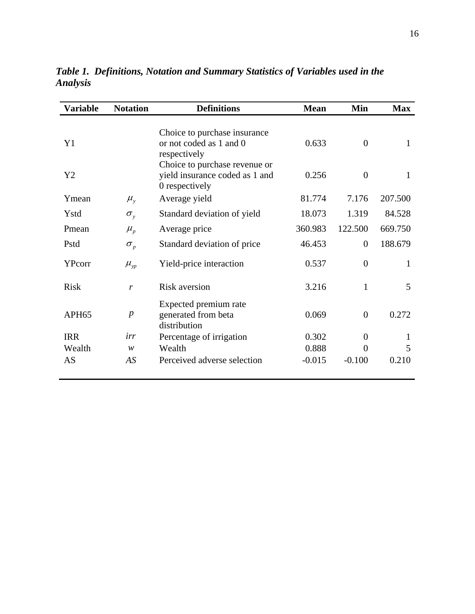| Variable          | <b>Notation</b>              | <b>Definitions</b>                                                                | <b>Mean</b> | Min            | <b>Max</b> |
|-------------------|------------------------------|-----------------------------------------------------------------------------------|-------------|----------------|------------|
| Y <sub>1</sub>    |                              | Choice to purchase insurance<br>or not coded as 1 and 0<br>respectively           | 0.633       | $\theta$       | 1          |
| Y2                |                              | Choice to purchase revenue or<br>yield insurance coded as 1 and<br>0 respectively | 0.256       | $\theta$       | 1          |
| Ymean             | $\mu_{y}$                    | Average yield                                                                     | 81.774      | 7.176          | 207.500    |
| Ystd              | $\sigma_{v}$                 | Standard deviation of yield                                                       | 18.073      | 1.319          | 84.528     |
| Pmean             | $\mu_{\scriptscriptstyle p}$ | Average price                                                                     | 360.983     | 122.500        | 669.750    |
| Pstd              | $\sigma_{p}$                 | Standard deviation of price                                                       | 46.453      | $\overline{0}$ | 188.679    |
| YPcorr            | $\mu_{yp}$                   | Yield-price interaction                                                           | 0.537       | $\theta$       | 1          |
| <b>Risk</b>       | r                            | Risk aversion                                                                     | 3.216       | 1              | 5          |
| APH <sub>65</sub> | $\boldsymbol{p}$             | Expected premium rate<br>generated from beta<br>distribution                      | 0.069       | $\theta$       | 0.272      |
| <b>IRR</b>        | irr                          | Percentage of irrigation                                                          | 0.302       | $\overline{0}$ | 1          |
| Wealth            | W                            | Wealth                                                                            | 0.888       | $\theta$       | 5          |
| AS                | AS                           | Perceived adverse selection                                                       | $-0.015$    | $-0.100$       | 0.210      |

*Table 1. Definitions, Notation and Summary Statistics of Variables used in the Analysis*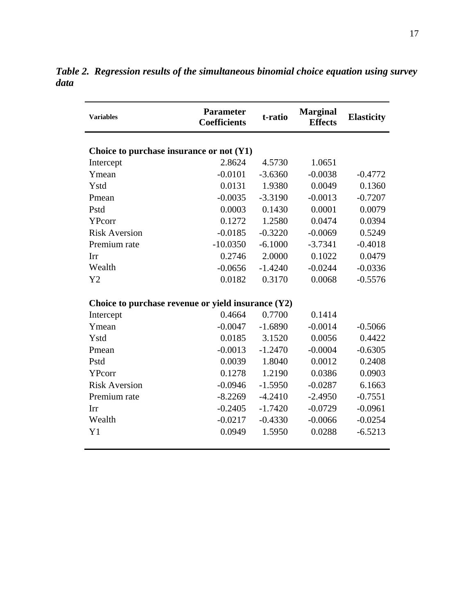| <b>Variables</b>                                     | <b>Parameter</b><br><b>Coefficients</b> | t-ratio   | <b>Marginal</b><br><b>Effects</b> | <b>Elasticity</b> |  |  |  |  |
|------------------------------------------------------|-----------------------------------------|-----------|-----------------------------------|-------------------|--|--|--|--|
| Choice to purchase insurance or not $(Y1)$           |                                         |           |                                   |                   |  |  |  |  |
| Intercept                                            | 2.8624                                  | 4.5730    | 1.0651                            |                   |  |  |  |  |
| Ymean                                                | $-0.0101$                               | $-3.6360$ | $-0.0038$                         | $-0.4772$         |  |  |  |  |
| Ystd                                                 | 0.0131                                  | 1.9380    | 0.0049                            | 0.1360            |  |  |  |  |
| Pmean                                                | $-0.0035$                               | $-3.3190$ | $-0.0013$                         | $-0.7207$         |  |  |  |  |
| Pstd                                                 | 0.0003                                  | 0.1430    | 0.0001                            | 0.0079            |  |  |  |  |
| YPcorr                                               | 0.1272                                  | 1.2580    | 0.0474                            | 0.0394            |  |  |  |  |
| <b>Risk Aversion</b>                                 | $-0.0185$                               | $-0.3220$ | $-0.0069$                         | 0.5249            |  |  |  |  |
| Premium rate                                         | $-10.0350$                              | $-6.1000$ | $-3.7341$                         | $-0.4018$         |  |  |  |  |
| Irr                                                  | 0.2746                                  | 2.0000    | 0.1022                            | 0.0479            |  |  |  |  |
| Wealth                                               | $-0.0656$                               | $-1.4240$ | $-0.0244$                         | $-0.0336$         |  |  |  |  |
| Y2                                                   | 0.0182                                  | 0.3170    | 0.0068                            | $-0.5576$         |  |  |  |  |
| Choice to purchase revenue or yield insurance $(Y2)$ |                                         |           |                                   |                   |  |  |  |  |
| Intercept                                            | 0.4664                                  | 0.7700    | 0.1414                            |                   |  |  |  |  |
| Ymean                                                | $-0.0047$                               | $-1.6890$ | $-0.0014$                         | $-0.5066$         |  |  |  |  |
| Ystd                                                 | 0.0185                                  | 3.1520    | 0.0056                            | 0.4422            |  |  |  |  |
| Pmean                                                | $-0.0013$                               | $-1.2470$ | $-0.0004$                         | $-0.6305$         |  |  |  |  |
| Pstd                                                 | 0.0039                                  | 1.8040    | 0.0012                            | 0.2408            |  |  |  |  |
| YPcorr                                               | 0.1278                                  | 1.2190    | 0.0386                            | 0.0903            |  |  |  |  |
| <b>Risk Aversion</b>                                 | $-0.0946$                               | $-1.5950$ | $-0.0287$                         | 6.1663            |  |  |  |  |
| Premium rate                                         | $-8.2269$                               | $-4.2410$ | $-2.4950$                         | $-0.7551$         |  |  |  |  |
| Irr                                                  | $-0.2405$                               | $-1.7420$ | $-0.0729$                         | $-0.0961$         |  |  |  |  |
| Wealth                                               | $-0.0217$                               | $-0.4330$ | $-0.0066$                         | $-0.0254$         |  |  |  |  |
| Y1                                                   | 0.0949                                  | 1.5950    | 0.0288                            | $-6.5213$         |  |  |  |  |
|                                                      |                                         |           |                                   |                   |  |  |  |  |

*Table 2. Regression results of the simultaneous binomial choice equation using survey data*